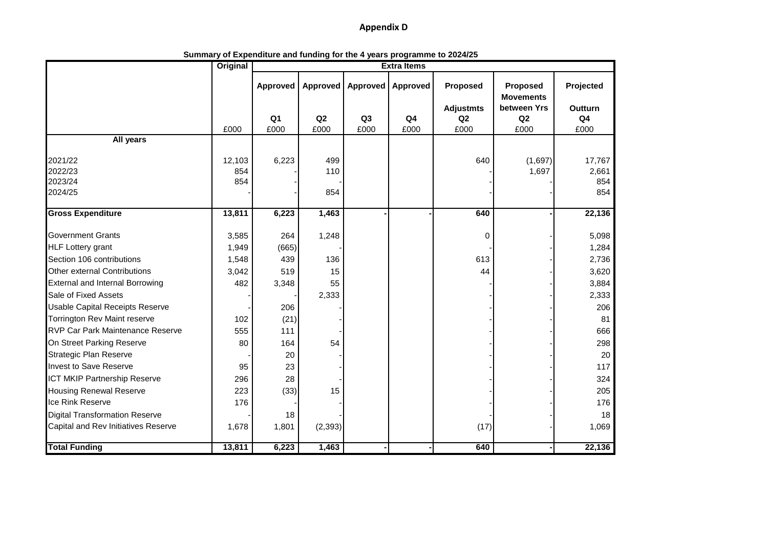## **Appendix D**

|                                         | <b>Original</b><br><b>Extra Items</b> |                        |            |                        |                        |                                            |                              |                                   |  |
|-----------------------------------------|---------------------------------------|------------------------|------------|------------------------|------------------------|--------------------------------------------|------------------------------|-----------------------------------|--|
|                                         |                                       | Approved               | Approved   | <b>Approved</b>        | Approved               | Proposed                                   | Proposed<br><b>Movements</b> | Projected                         |  |
|                                         | £000                                  | Q <sub>1</sub><br>£000 | Q2<br>£000 | Q <sub>3</sub><br>£000 | Q <sub>4</sub><br>£000 | <b>Adjustmts</b><br>Q <sub>2</sub><br>£000 | between Yrs<br>Q2<br>£000    | Outturn<br>Q <sub>4</sub><br>£000 |  |
| All years                               |                                       |                        |            |                        |                        |                                            |                              |                                   |  |
|                                         |                                       |                        |            |                        |                        |                                            |                              |                                   |  |
| 2021/22                                 | 12,103                                | 6,223                  | 499        |                        |                        | 640                                        | (1,697)                      | 17,767                            |  |
| 2022/23                                 | 854                                   |                        | 110        |                        |                        |                                            | 1,697                        | 2,661                             |  |
| 2023/24                                 | 854                                   |                        |            |                        |                        |                                            |                              | 854                               |  |
| 2024/25                                 |                                       |                        | 854        |                        |                        |                                            |                              | 854                               |  |
| <b>Gross Expenditure</b>                | 13,811                                | 6,223                  | 1,463      |                        |                        | 640                                        |                              | 22,136                            |  |
| <b>Government Grants</b>                | 3,585                                 | 264                    | 1,248      |                        |                        | 0                                          |                              | 5,098                             |  |
| <b>HLF Lottery grant</b>                | 1,949                                 | (665)                  |            |                        |                        |                                            |                              | 1,284                             |  |
| Section 106 contributions               | 1,548                                 | 439                    | 136        |                        |                        | 613                                        |                              | 2,736                             |  |
| <b>Other external Contributions</b>     | 3,042                                 | 519                    | 15         |                        |                        | 44                                         |                              | 3,620                             |  |
| <b>External and Internal Borrowing</b>  | 482                                   | 3,348                  | 55         |                        |                        |                                            |                              | 3,884                             |  |
| Sale of Fixed Assets                    |                                       |                        | 2,333      |                        |                        |                                            |                              | 2,333                             |  |
| <b>Usable Capital Receipts Reserve</b>  |                                       | 206                    |            |                        |                        |                                            |                              | 206                               |  |
| Torrington Rev Maint reserve            | 102                                   | (21)                   |            |                        |                        |                                            |                              | 81                                |  |
| <b>RVP Car Park Maintenance Reserve</b> | 555                                   | 111                    |            |                        |                        |                                            |                              | 666                               |  |
| On Street Parking Reserve               | 80                                    | 164                    | 54         |                        |                        |                                            |                              | 298                               |  |
| <b>Strategic Plan Reserve</b>           |                                       | 20                     |            |                        |                        |                                            |                              | 20                                |  |
| <b>Invest to Save Reserve</b>           | 95                                    | 23                     |            |                        |                        |                                            |                              | 117                               |  |
| ICT MKIP Partnership Reserve            | 296                                   | 28                     |            |                        |                        |                                            |                              | 324                               |  |
| <b>Housing Renewal Reserve</b>          | 223                                   | (33)                   | 15         |                        |                        |                                            |                              | 205                               |  |
| Ice Rink Reserve                        | 176                                   |                        |            |                        |                        |                                            |                              | 176                               |  |
| <b>Digital Transformation Reserve</b>   |                                       | 18                     |            |                        |                        |                                            |                              | 18                                |  |
| Capital and Rev Initiatives Reserve     | 1,678                                 | 1,801                  | (2, 393)   |                        |                        | (17)                                       |                              | 1,069                             |  |
| <b>Total Funding</b>                    | 13,811                                | 6,223                  | 1,463      |                        |                        | 640                                        |                              | 22,136                            |  |